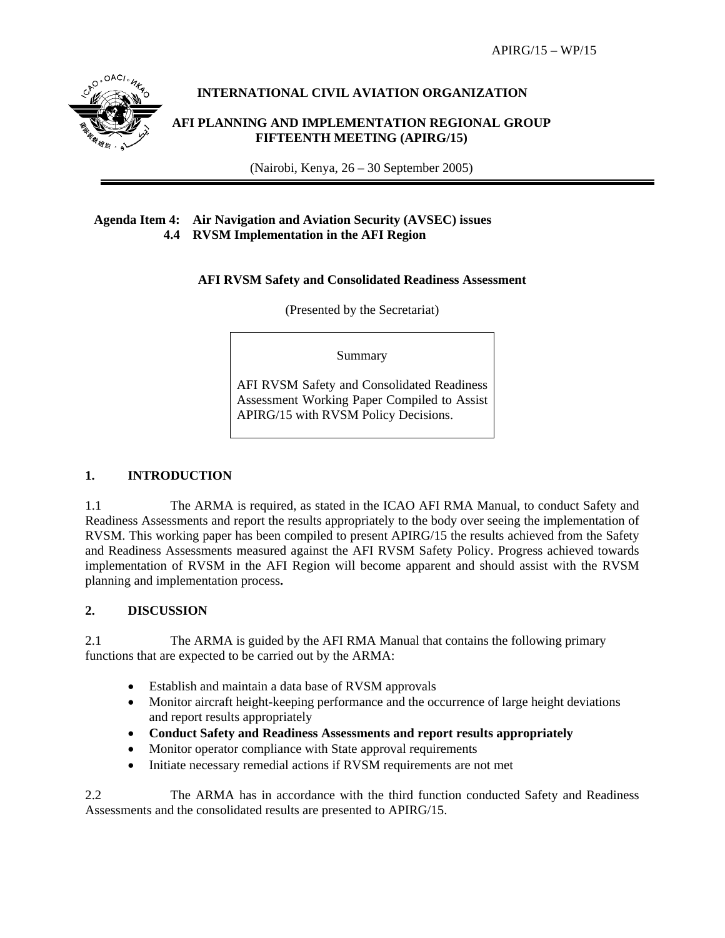

# **INTERNATIONAL CIVIL AVIATION ORGANIZATION**

### **AFI PLANNING AND IMPLEMENTATION REGIONAL GROUP FIFTEENTH MEETING (APIRG/15)**

(Nairobi, Kenya, 26 – 30 September 2005)

# **Agenda Item 4: Air Navigation and Aviation Security (AVSEC) issues 4.4 RVSM Implementation in the AFI Region**

# **AFI RVSM Safety and Consolidated Readiness Assessment**

(Presented by the Secretariat)

Summary

AFI RVSM Safety and Consolidated Readiness Assessment Working Paper Compiled to Assist APIRG/15 with RVSM Policy Decisions.

### **1. INTRODUCTION**

1.1 The ARMA is required, as stated in the ICAO AFI RMA Manual, to conduct Safety and Readiness Assessments and report the results appropriately to the body over seeing the implementation of RVSM. This working paper has been compiled to present APIRG/15 the results achieved from the Safety and Readiness Assessments measured against the AFI RVSM Safety Policy. Progress achieved towards implementation of RVSM in the AFI Region will become apparent and should assist with the RVSM planning and implementation process**.** 

# **2. DISCUSSION**

2.1 The ARMA is guided by the AFI RMA Manual that contains the following primary functions that are expected to be carried out by the ARMA:

- Establish and maintain a data base of RVSM approvals
- Monitor aircraft height-keeping performance and the occurrence of large height deviations and report results appropriately
- **Conduct Safety and Readiness Assessments and report results appropriately**
- Monitor operator compliance with State approval requirements
- Initiate necessary remedial actions if RVSM requirements are not met

2.2 The ARMA has in accordance with the third function conducted Safety and Readiness Assessments and the consolidated results are presented to APIRG/15.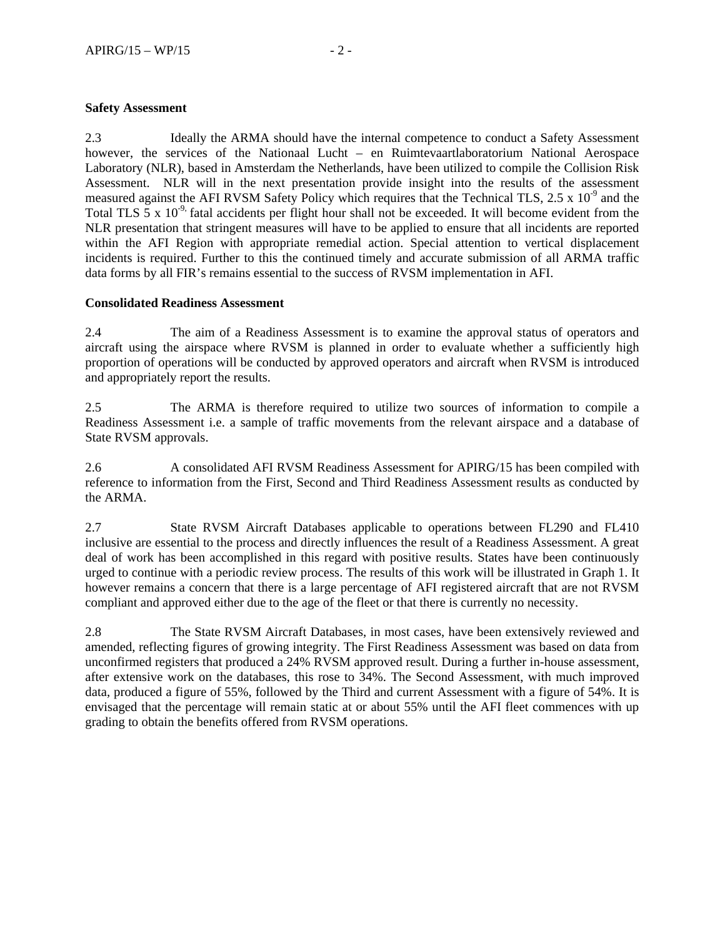### **Safety Assessment**

2.3 Ideally the ARMA should have the internal competence to conduct a Safety Assessment however, the services of the Nationaal Lucht – en Ruimtevaartlaboratorium National Aerospace Laboratory (NLR), based in Amsterdam the Netherlands, have been utilized to compile the Collision Risk Assessment. NLR will in the next presentation provide insight into the results of the assessment measured against the AFI RVSM Safety Policy which requires that the Technical TLS,  $2.5 \times 10^{-9}$  and the Total TLS  $\bar{5}$  x 10<sup>-9,</sup> fatal accidents per flight hour shall not be exceeded. It will become evident from the NLR presentation that stringent measures will have to be applied to ensure that all incidents are reported within the AFI Region with appropriate remedial action. Special attention to vertical displacement incidents is required. Further to this the continued timely and accurate submission of all ARMA traffic data forms by all FIR's remains essential to the success of RVSM implementation in AFI.

#### **Consolidated Readiness Assessment**

2.4 The aim of a Readiness Assessment is to examine the approval status of operators and aircraft using the airspace where RVSM is planned in order to evaluate whether a sufficiently high proportion of operations will be conducted by approved operators and aircraft when RVSM is introduced and appropriately report the results.

2.5 The ARMA is therefore required to utilize two sources of information to compile a Readiness Assessment i.e. a sample of traffic movements from the relevant airspace and a database of State RVSM approvals.

2.6 A consolidated AFI RVSM Readiness Assessment for APIRG/15 has been compiled with reference to information from the First, Second and Third Readiness Assessment results as conducted by the ARMA.

2.7 State RVSM Aircraft Databases applicable to operations between FL290 and FL410 inclusive are essential to the process and directly influences the result of a Readiness Assessment. A great deal of work has been accomplished in this regard with positive results. States have been continuously urged to continue with a periodic review process. The results of this work will be illustrated in Graph 1. It however remains a concern that there is a large percentage of AFI registered aircraft that are not RVSM compliant and approved either due to the age of the fleet or that there is currently no necessity.

2.8 The State RVSM Aircraft Databases, in most cases, have been extensively reviewed and amended, reflecting figures of growing integrity. The First Readiness Assessment was based on data from unconfirmed registers that produced a 24% RVSM approved result. During a further in-house assessment, after extensive work on the databases, this rose to 34%. The Second Assessment, with much improved data, produced a figure of 55%, followed by the Third and current Assessment with a figure of 54%. It is envisaged that the percentage will remain static at or about 55% until the AFI fleet commences with up grading to obtain the benefits offered from RVSM operations.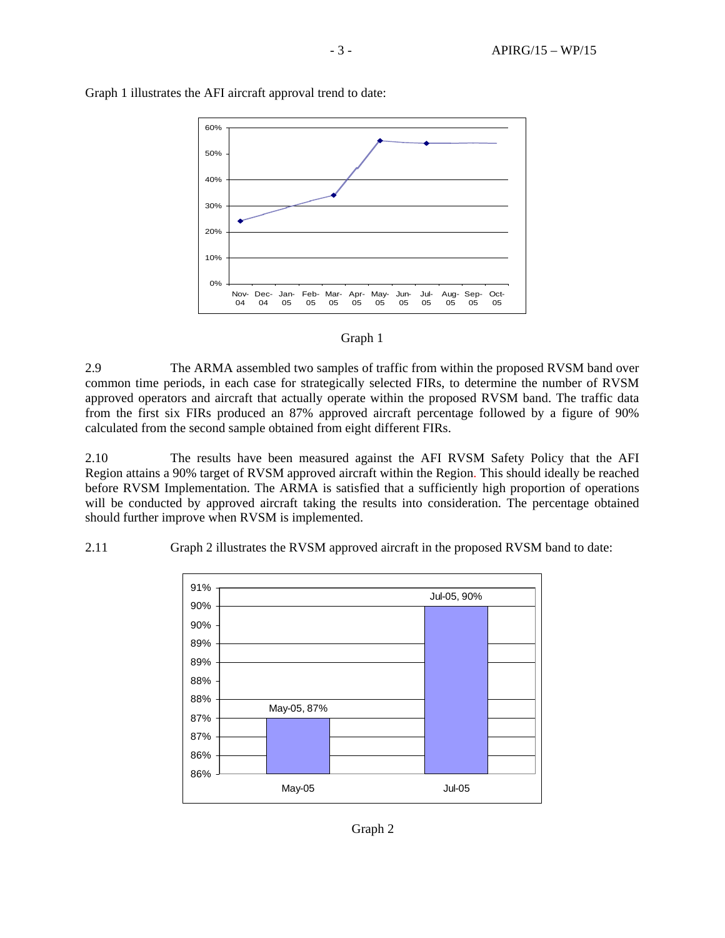

Graph 1 illustrates the AFI aircraft approval trend to date:



2.9 The ARMA assembled two samples of traffic from within the proposed RVSM band over common time periods, in each case for strategically selected FIRs, to determine the number of RVSM approved operators and aircraft that actually operate within the proposed RVSM band. The traffic data from the first six FIRs produced an 87% approved aircraft percentage followed by a figure of 90% calculated from the second sample obtained from eight different FIRs.

2.10 The results have been measured against the AFI RVSM Safety Policy that the AFI Region attains a 90% target of RVSM approved aircraft within the Region. This should ideally be reached before RVSM Implementation. The ARMA is satisfied that a sufficiently high proportion of operations will be conducted by approved aircraft taking the results into consideration. The percentage obtained should further improve when RVSM is implemented.



2.11 Graph 2 illustrates the RVSM approved aircraft in the proposed RVSM band to date:

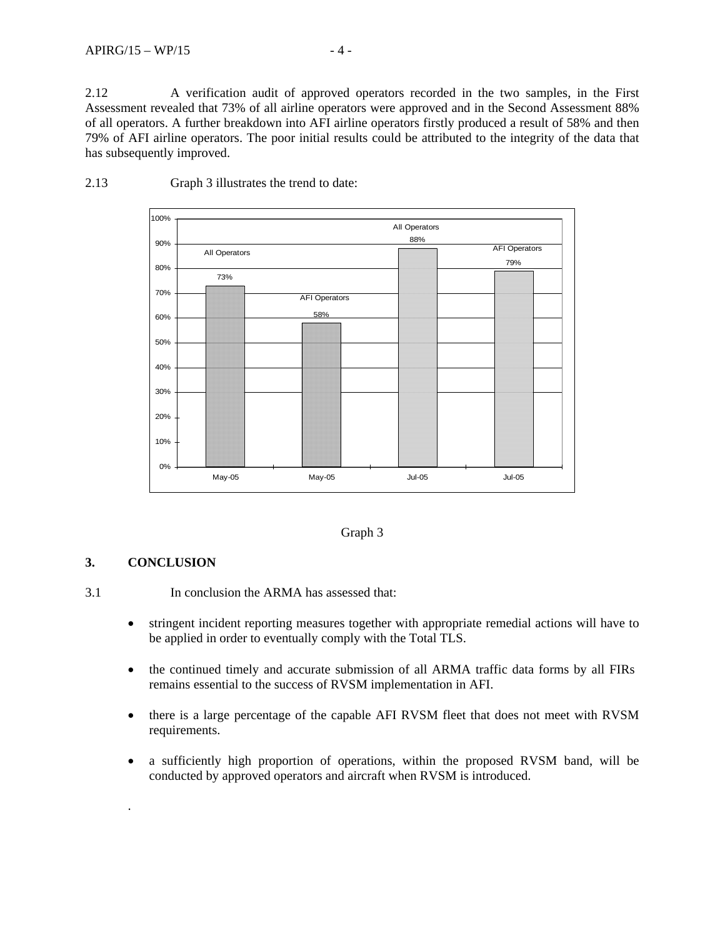2.12 A verification audit of approved operators recorded in the two samples, in the First Assessment revealed that 73% of all airline operators were approved and in the Second Assessment 88% of all operators. A further breakdown into AFI airline operators firstly produced a result of 58% and then 79% of AFI airline operators. The poor initial results could be attributed to the integrity of the data that has subsequently improved.



2.13 Graph 3 illustrates the trend to date:

#### Graph 3

# **3. CONCLUSION**

.

3.1 In conclusion the ARMA has assessed that:

- stringent incident reporting measures together with appropriate remedial actions will have to be applied in order to eventually comply with the Total TLS.
- the continued timely and accurate submission of all ARMA traffic data forms by all FIRs remains essential to the success of RVSM implementation in AFI.
- there is a large percentage of the capable AFI RVSM fleet that does not meet with RVSM requirements.
- a sufficiently high proportion of operations, within the proposed RVSM band, will be conducted by approved operators and aircraft when RVSM is introduced.